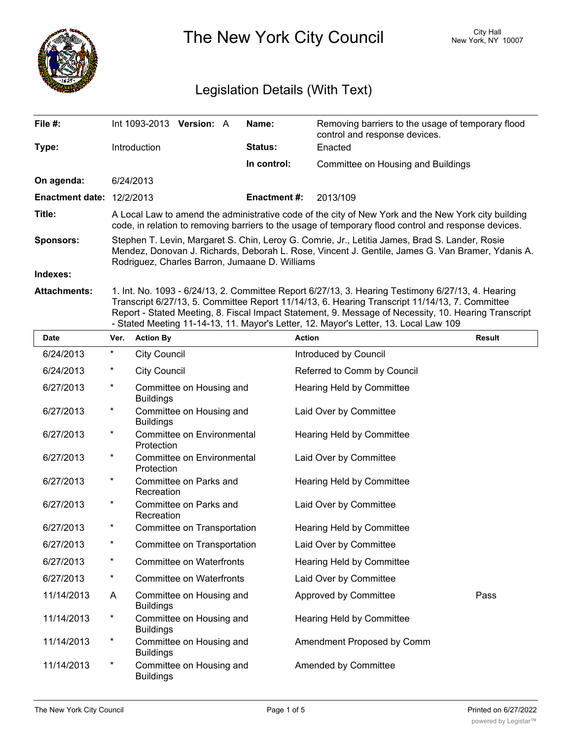

The New York City Council New York, NY 10007

# Legislation Details (With Text)

| File $#$ :                  | Int 1093-2013                                                                                                                                                                                                                                        | <b>Version: A</b> |  | Name:               | Removing barriers to the usage of temporary flood<br>control and response devices. |  |  |
|-----------------------------|------------------------------------------------------------------------------------------------------------------------------------------------------------------------------------------------------------------------------------------------------|-------------------|--|---------------------|------------------------------------------------------------------------------------|--|--|
| Type:                       | Introduction                                                                                                                                                                                                                                         |                   |  | <b>Status:</b>      | Enacted                                                                            |  |  |
|                             |                                                                                                                                                                                                                                                      |                   |  | In control:         | Committee on Housing and Buildings                                                 |  |  |
| On agenda:                  | 6/24/2013                                                                                                                                                                                                                                            |                   |  |                     |                                                                                    |  |  |
| Enactment date: $12/2/2013$ |                                                                                                                                                                                                                                                      |                   |  | <b>Enactment #:</b> | 2013/109                                                                           |  |  |
| Title:                      | A Local Law to amend the administrative code of the city of New York and the New York city building<br>code, in relation to removing barriers to the usage of temporary flood control and response devices.                                          |                   |  |                     |                                                                                    |  |  |
| <b>Sponsors:</b>            | Stephen T. Levin, Margaret S. Chin, Leroy G. Comrie, Jr., Letitia James, Brad S. Lander, Rosie<br>Mendez, Donovan J. Richards, Deborah L. Rose, Vincent J. Gentile, James G. Van Bramer, Ydanis A.<br>Rodriguez, Charles Barron, Jumaane D. Williams |                   |  |                     |                                                                                    |  |  |
| Indexes:                    |                                                                                                                                                                                                                                                      |                   |  |                     |                                                                                    |  |  |
|                             |                                                                                                                                                                                                                                                      |                   |  |                     |                                                                                    |  |  |

**Attachments:** 1. Int. No. 1093 - 6/24/13, 2. Committee Report 6/27/13, 3. Hearing Testimony 6/27/13, 4. Hearing Transcript 6/27/13, 5. Committee Report 11/14/13, 6. Hearing Transcript 11/14/13, 7. Committee Report - Stated Meeting, 8. Fiscal Impact Statement, 9. Message of Necessity, 10. Hearing Transcript - Stated Meeting 11-14-13, 11. Mayor's Letter, 12. Mayor's Letter, 13. Local Law 109

| <b>Date</b> | Ver.     | <b>Action By</b>                             | <b>Action</b>               | <b>Result</b> |
|-------------|----------|----------------------------------------------|-----------------------------|---------------|
| 6/24/2013   | $^\star$ | <b>City Council</b>                          | Introduced by Council       |               |
| 6/24/2013   | $\ast$   | <b>City Council</b>                          | Referred to Comm by Council |               |
| 6/27/2013   | $\ast$   | Committee on Housing and<br><b>Buildings</b> | Hearing Held by Committee   |               |
| 6/27/2013   | $\ast$   | Committee on Housing and<br><b>Buildings</b> | Laid Over by Committee      |               |
| 6/27/2013   | $\ast$   | Committee on Environmental<br>Protection     | Hearing Held by Committee   |               |
| 6/27/2013   | $^\star$ | Committee on Environmental<br>Protection     | Laid Over by Committee      |               |
| 6/27/2013   | $\ast$   | Committee on Parks and<br>Recreation         | Hearing Held by Committee   |               |
| 6/27/2013   | $^\star$ | Committee on Parks and<br>Recreation         | Laid Over by Committee      |               |
| 6/27/2013   | $\ast$   | Committee on Transportation                  | Hearing Held by Committee   |               |
| 6/27/2013   | $\ast$   | Committee on Transportation                  | Laid Over by Committee      |               |
| 6/27/2013   | $^\star$ | Committee on Waterfronts                     | Hearing Held by Committee   |               |
| 6/27/2013   | $^\star$ | <b>Committee on Waterfronts</b>              | Laid Over by Committee      |               |
| 11/14/2013  | A        | Committee on Housing and<br><b>Buildings</b> | Approved by Committee       | Pass          |
| 11/14/2013  | $^\star$ | Committee on Housing and<br><b>Buildings</b> | Hearing Held by Committee   |               |
| 11/14/2013  | $\ast$   | Committee on Housing and<br><b>Buildings</b> | Amendment Proposed by Comm  |               |
| 11/14/2013  | $^\star$ | Committee on Housing and<br><b>Buildings</b> | Amended by Committee        |               |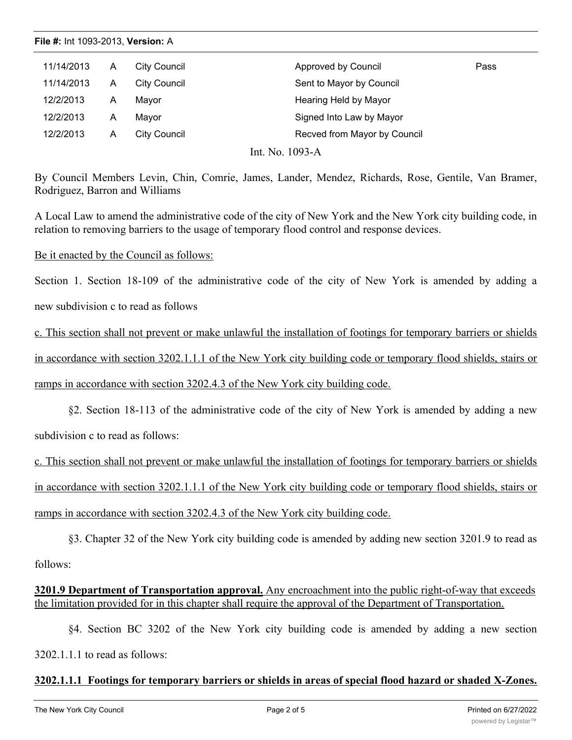#### **File #:** Int 1093-2013, **Version:** A

| 11/14/2013 | A | City Council | Approved by Council          | Pass |
|------------|---|--------------|------------------------------|------|
| 11/14/2013 | A | City Council | Sent to Mayor by Council     |      |
| 12/2/2013  | А | Mavor        | Hearing Held by Mayor        |      |
| 12/2/2013  | А | Mayor        | Signed Into Law by Mayor     |      |
| 12/2/2013  | A | City Council | Recved from Mayor by Council |      |

Int. No. 1093-A

By Council Members Levin, Chin, Comrie, James, Lander, Mendez, Richards, Rose, Gentile, Van Bramer, Rodriguez, Barron and Williams

A Local Law to amend the administrative code of the city of New York and the New York city building code, in relation to removing barriers to the usage of temporary flood control and response devices.

Be it enacted by the Council as follows:

Section 1. Section 18-109 of the administrative code of the city of New York is amended by adding a

new subdivision c to read as follows

c. This section shall not prevent or make unlawful the installation of footings for temporary barriers or shields in accordance with section 3202.1.1.1 of the New York city building code or temporary flood shields, stairs or ramps in accordance with section 3202.4.3 of the New York city building code.

§2. Section 18-113 of the administrative code of the city of New York is amended by adding a new subdivision c to read as follows:

c. This section shall not prevent or make unlawful the installation of footings for temporary barriers or shields in accordance with section 3202.1.1.1 of the New York city building code or temporary flood shields, stairs or ramps in accordance with section 3202.4.3 of the New York city building code.

§3. Chapter 32 of the New York city building code is amended by adding new section 3201.9 to read as follows:

### **3201.9 Department of Transportation approval.** Any encroachment into the public right-of-way that exceeds the limitation provided for in this chapter shall require the approval of the Department of Transportation.

§4. Section BC 3202 of the New York city building code is amended by adding a new section 3202.1.1.1 to read as follows:

#### **3202.1.1.1 Footings for temporary barriers or shields in areas of special flood hazard or shaded X-Zones.**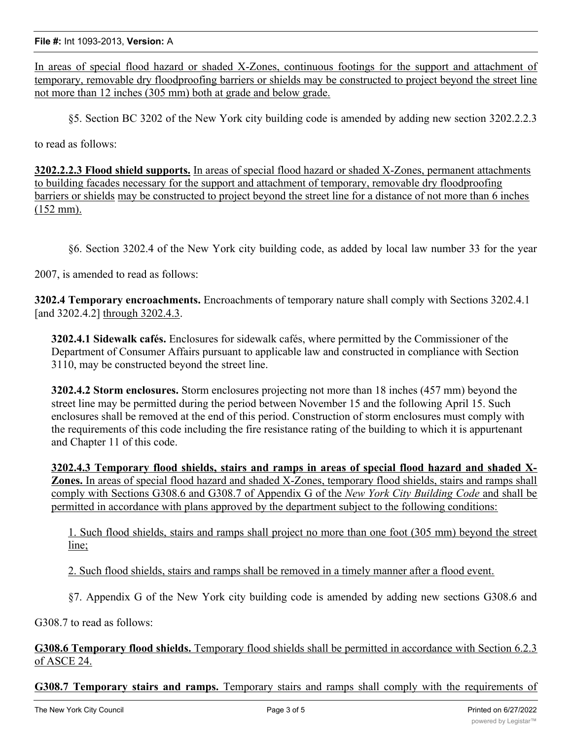**File #:** Int 1093-2013, **Version:** A

In areas of special flood hazard or shaded X-Zones, continuous footings for the support and attachment of temporary, removable dry floodproofing barriers or shields may be constructed to project beyond the street line not more than 12 inches (305 mm) both at grade and below grade.

§5. Section BC 3202 of the New York city building code is amended by adding new section 3202.2.2.3

to read as follows:

**3202.2.2.3 Flood shield supports.** In areas of special flood hazard or shaded X-Zones, permanent attachments to building facades necessary for the support and attachment of temporary, removable dry floodproofing barriers or shields may be constructed to project beyond the street line for a distance of not more than 6 inches (152 mm).

§6. Section 3202.4 of the New York city building code, as added by local law number 33 for the year

2007, is amended to read as follows:

**3202.4 Temporary encroachments.** Encroachments of temporary nature shall comply with Sections 3202.4.1 [and 3202.4.2] through 3202.4.3.

**3202.4.1 Sidewalk cafés.** Enclosures for sidewalk cafés, where permitted by the Commissioner of the Department of Consumer Affairs pursuant to applicable law and constructed in compliance with Section 3110, may be constructed beyond the street line.

**3202.4.2 Storm enclosures.** Storm enclosures projecting not more than 18 inches (457 mm) beyond the street line may be permitted during the period between November 15 and the following April 15. Such enclosures shall be removed at the end of this period. Construction of storm enclosures must comply with the requirements of this code including the fire resistance rating of the building to which it is appurtenant and Chapter 11 of this code.

**3202.4.3 Temporary flood shields, stairs and ramps in areas of special flood hazard and shaded X-Zones.** In areas of special flood hazard and shaded X-Zones, temporary flood shields, stairs and ramps shall comply with Sections G308.6 and G308.7 of Appendix G of the *New York City Building Code* and shall be permitted in accordance with plans approved by the department subject to the following conditions:

1. Such flood shields, stairs and ramps shall project no more than one foot (305 mm) beyond the street line;

2. Such flood shields, stairs and ramps shall be removed in a timely manner after a flood event.

§7. Appendix G of the New York city building code is amended by adding new sections G308.6 and

G308.7 to read as follows:

**G308.6 Temporary flood shields.** Temporary flood shields shall be permitted in accordance with Section 6.2.3 of ASCE 24.

**G308.7 Temporary stairs and ramps.** Temporary stairs and ramps shall comply with the requirements of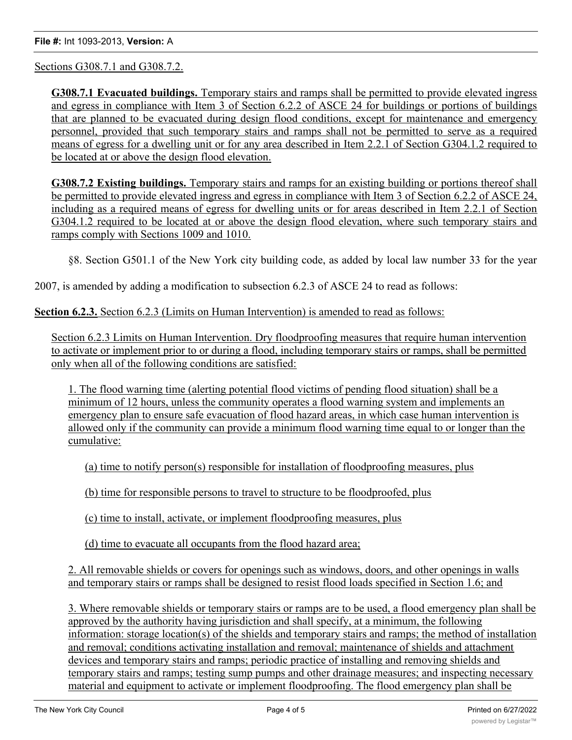Sections G308.7.1 and G308.7.2.

**G308.7.1 Evacuated buildings.** Temporary stairs and ramps shall be permitted to provide elevated ingress and egress in compliance with Item 3 of Section 6.2.2 of ASCE 24 for buildings or portions of buildings that are planned to be evacuated during design flood conditions, except for maintenance and emergency personnel, provided that such temporary stairs and ramps shall not be permitted to serve as a required means of egress for a dwelling unit or for any area described in Item 2.2.1 of Section G304.1.2 required to be located at or above the design flood elevation.

**G308.7.2 Existing buildings.** Temporary stairs and ramps for an existing building or portions thereof shall be permitted to provide elevated ingress and egress in compliance with Item 3 of Section 6.2.2 of ASCE 24, including as a required means of egress for dwelling units or for areas described in Item 2.2.1 of Section G304.1.2 required to be located at or above the design flood elevation, where such temporary stairs and ramps comply with Sections 1009 and 1010.

§8. Section G501.1 of the New York city building code, as added by local law number 33 for the year

2007, is amended by adding a modification to subsection 6.2.3 of ASCE 24 to read as follows:

**Section 6.2.3.** Section 6.2.3 (Limits on Human Intervention) is amended to read as follows:

Section 6.2.3 Limits on Human Intervention. Dry floodproofing measures that require human intervention to activate or implement prior to or during a flood, including temporary stairs or ramps, shall be permitted only when all of the following conditions are satisfied:

1. The flood warning time (alerting potential flood victims of pending flood situation) shall be a minimum of 12 hours, unless the community operates a flood warning system and implements an emergency plan to ensure safe evacuation of flood hazard areas, in which case human intervention is allowed only if the community can provide a minimum flood warning time equal to or longer than the cumulative:

(a) time to notify person(s) responsible for installation of floodproofing measures, plus

(b) time for responsible persons to travel to structure to be floodproofed, plus

(c) time to install, activate, or implement floodproofing measures, plus

(d) time to evacuate all occupants from the flood hazard area;

2. All removable shields or covers for openings such as windows, doors, and other openings in walls and temporary stairs or ramps shall be designed to resist flood loads specified in Section 1.6; and

3. Where removable shields or temporary stairs or ramps are to be used, a flood emergency plan shall be approved by the authority having jurisdiction and shall specify, at a minimum, the following information: storage location(s) of the shields and temporary stairs and ramps; the method of installation and removal; conditions activating installation and removal; maintenance of shields and attachment devices and temporary stairs and ramps; periodic practice of installing and removing shields and temporary stairs and ramps; testing sump pumps and other drainage measures; and inspecting necessary material and equipment to activate or implement floodproofing. The flood emergency plan shall be